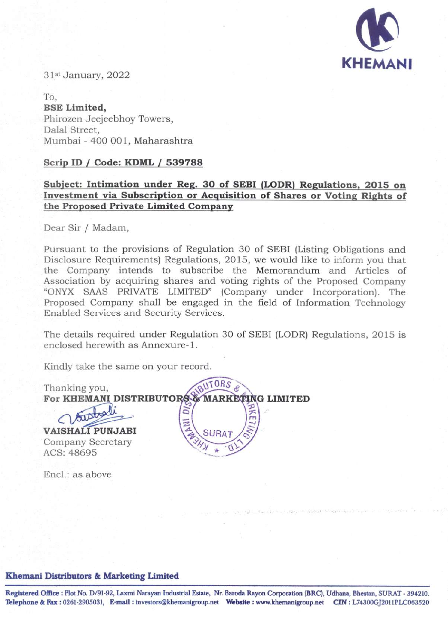

31st January, 2022

To, **BSE Limited,**  Phirozen Jeejeebhoy Towers, Dalal Street, Mumbai - 400 001, Maharashtra

### **Scrip ID** */* **Code: KDML I 539788**

## **Subject: Intimation under Reg. 30 of SEBI (LODR) Regulations, 2015 on Investment via Subscription or Acquisition of Shares or Voting Rights of the Proposed Private Limited Company**

Dear Sir / Madam,

Pursuant to the provisions of Regulation 30 of SEBI (Listing Obligations and Disclosure Requirements) Regulations, 2015, we would like to inform you that the Company intends to subscribe the Memorandum and Articles of Association by acquiring shares and voting rights of the Proposed Company "ONYX SAAS PRIVATE LIMITED" (Company under Incorporation). The Proposed Company shall be engaged in the field of Information Technology Enabled Services and Security Services.

The details required under Regulation 30 of SEBI (LODR) Regulations, 2015 is enclosed herewith as Annexure-1.

Kindly take the same on your record.

Thanking you, **For KHEMANI DISTRIBUTO VAISHALI PUNJABI**  Company Secretary ACS: 48695 BUTORS **e Jrri**  *12*-*<sup>9</sup>* **G LIMITED**  Encl.: as above

#### **Khemanl Distributors** & **Marketing Limited**

Registered Office : Plot No. D/91-92, Laxmi Narayan Industrial Estate, Nr. Baroda Rayon Corporation (BRC), Udhana, Bhestan, SURAT - 394210. **Telephone** & Fax : 0261-2905031, **E-mail investors@khemanigroup.net Webaite** : **www.khemanigroup.netCIN** : **L74300GJ2011PLC063520**